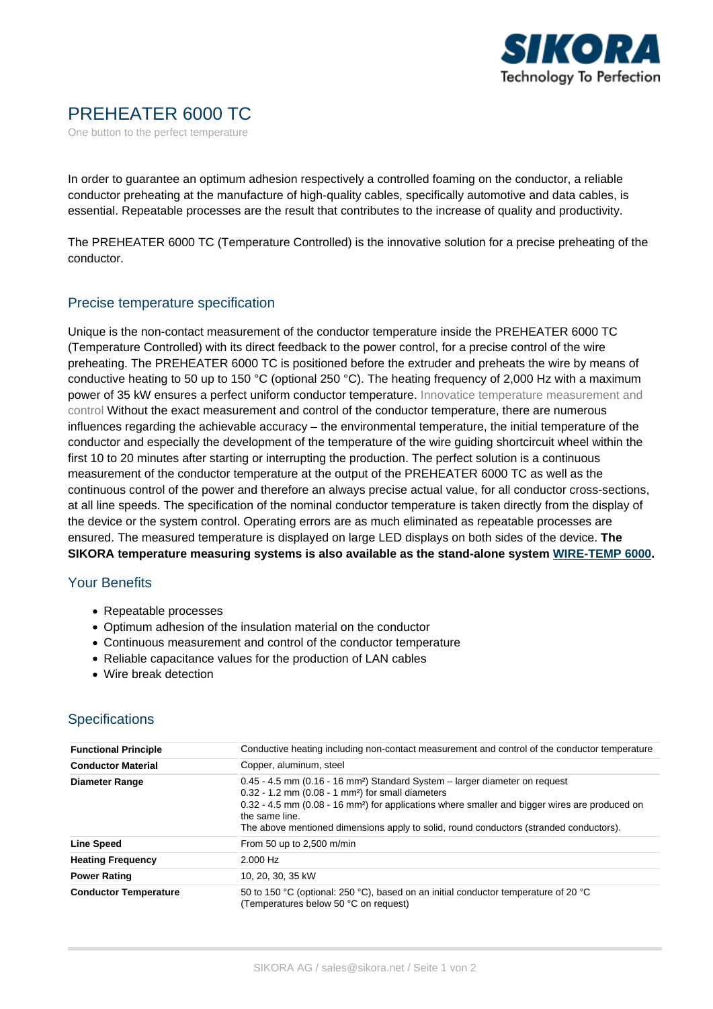

## PREHEATER 6000 TC

One button to the perfect temperature

In order to guarantee an optimum adhesion respectively a controlled foaming on the conductor, a reliable conductor preheating at the manufacture of high-quality cables, specifically automotive and data cables, is essential. Repeatable processes are the result that contributes to the increase of quality and productivity.

The PREHEATER 6000 TC (Temperature Controlled) is the innovative solution for a precise preheating of the conductor.

## Precise temperature specification

Unique is the non-contact measurement of the conductor temperature inside the PREHEATER 6000 TC (Temperature Controlled) with its direct feedback to the power control, for a precise control of the wire preheating. The PREHEATER 6000 TC is positioned before the extruder and preheats the wire by means of conductive heating to 50 up to 150 °C (optional 250 °C). The heating frequency of 2,000 Hz with a maximum power of 35 kW ensures a perfect uniform conductor temperature. Innovatice temperature measurement and control Without the exact measurement and control of the conductor temperature, there are numerous influences regarding the achievable accuracy – the environmental temperature, the initial temperature of the conductor and especially the development of the temperature of the wire guiding shortcircuit wheel within the first 10 to 20 minutes after starting or interrupting the production. The perfect solution is a continuous measurement of the conductor temperature at the output of the PREHEATER 6000 TC as well as the continuous control of the power and therefore an always precise actual value, for all conductor cross-sections, at all line speeds. The specification of the nominal conductor temperature is taken directly from the display of the device or the system control. Operating errors are as much eliminated as repeatable processes are ensured. The measured temperature is displayed on large LED displays on both sides of the device. **The SIKORA temperature measuring systems is also available as the stand-alone system [WIRE-TEMP 6000](https://sikora.net/wiretemp6000/).**

## Your Benefits

- Repeatable processes
- Optimum adhesion of the insulation material on the conductor
- Continuous measurement and control of the conductor temperature
- Reliable capacitance values for the production of LAN cables
- Wire break detection

## **Specifications**

| <b>Functional Principle</b>  | Conductive heating including non-contact measurement and control of the conductor temperature                                                                                                                                                                                                                                                                                           |
|------------------------------|-----------------------------------------------------------------------------------------------------------------------------------------------------------------------------------------------------------------------------------------------------------------------------------------------------------------------------------------------------------------------------------------|
| <b>Conductor Material</b>    | Copper, aluminum, steel                                                                                                                                                                                                                                                                                                                                                                 |
| <b>Diameter Range</b>        | 0.45 - 4.5 mm (0.16 - 16 mm <sup>2</sup> ) Standard System – larger diameter on request<br>$0.32 - 1.2$ mm ( $0.08 - 1$ mm <sup>2</sup> ) for small diameters<br>0.32 - 4.5 mm (0.08 - 16 mm <sup>2</sup> ) for applications where smaller and bigger wires are produced on<br>the same line.<br>The above mentioned dimensions apply to solid, round conductors (stranded conductors). |
| <b>Line Speed</b>            | From 50 up to $2,500$ m/min                                                                                                                                                                                                                                                                                                                                                             |
| <b>Heating Frequency</b>     | $2.000$ Hz                                                                                                                                                                                                                                                                                                                                                                              |
| <b>Power Rating</b>          | 10, 20, 30, 35 kW                                                                                                                                                                                                                                                                                                                                                                       |
| <b>Conductor Temperature</b> | 50 to 150 °C (optional: 250 °C), based on an initial conductor temperature of 20 °C<br>(Temperatures below 50 °C on request)                                                                                                                                                                                                                                                            |